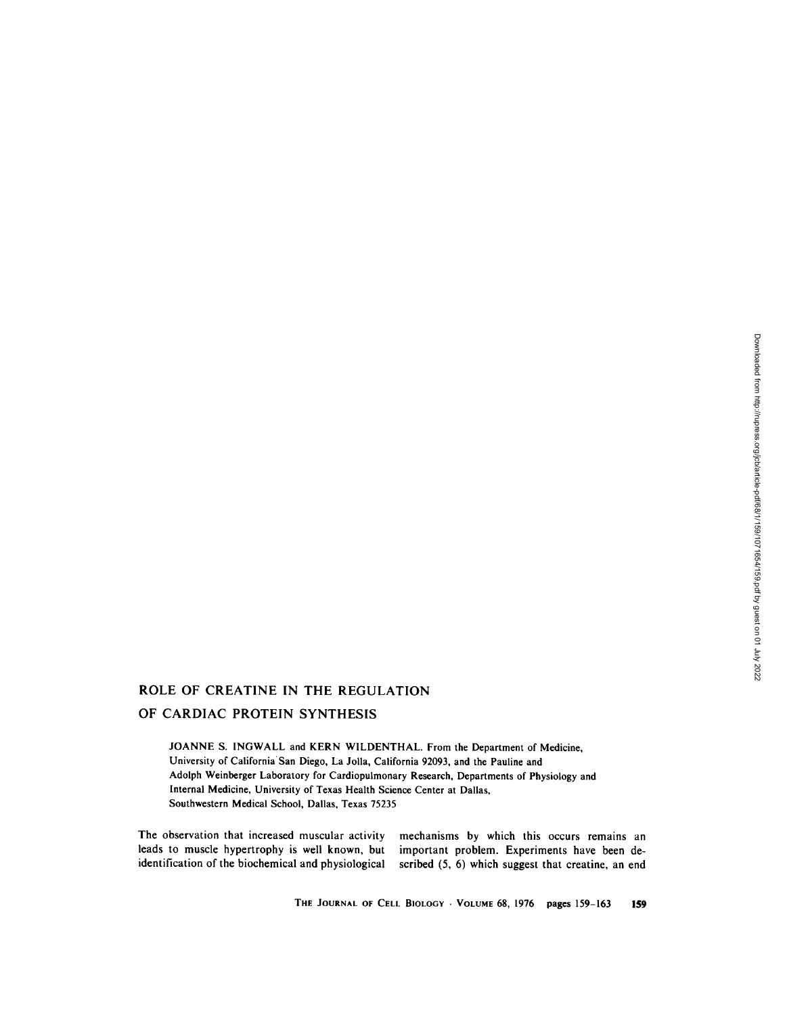# ROLE OF CREATINE IN THE REGULATION

## OF CARDIAC PROTEIN SYNTHESIS

JOANNE S. INGWALL and KERN WILDENTHAL. From the Department of Medicine, University of California'San Diego, La Jolla, California 92093, and the Pauline and Adolph Weinberger Laboratory for Cardiopulmonary Research, Departments of Physiology and Internal Medicine, University of Texas Health Science Center at Dallas, Southwestern Medical School, Dallas, Texas 75235

The observation that increased muscular activity leads to muscle hypertrophy is well known, but identification of the biochemical and physiological mechanisms by which this occurs remains an important problem. Experiments have been described (5, 6) which suggest that creatine, an end

THE JOURNAL OF CELL BIOLOGY · VOLUME 68, 1976 pages 159-163 **159**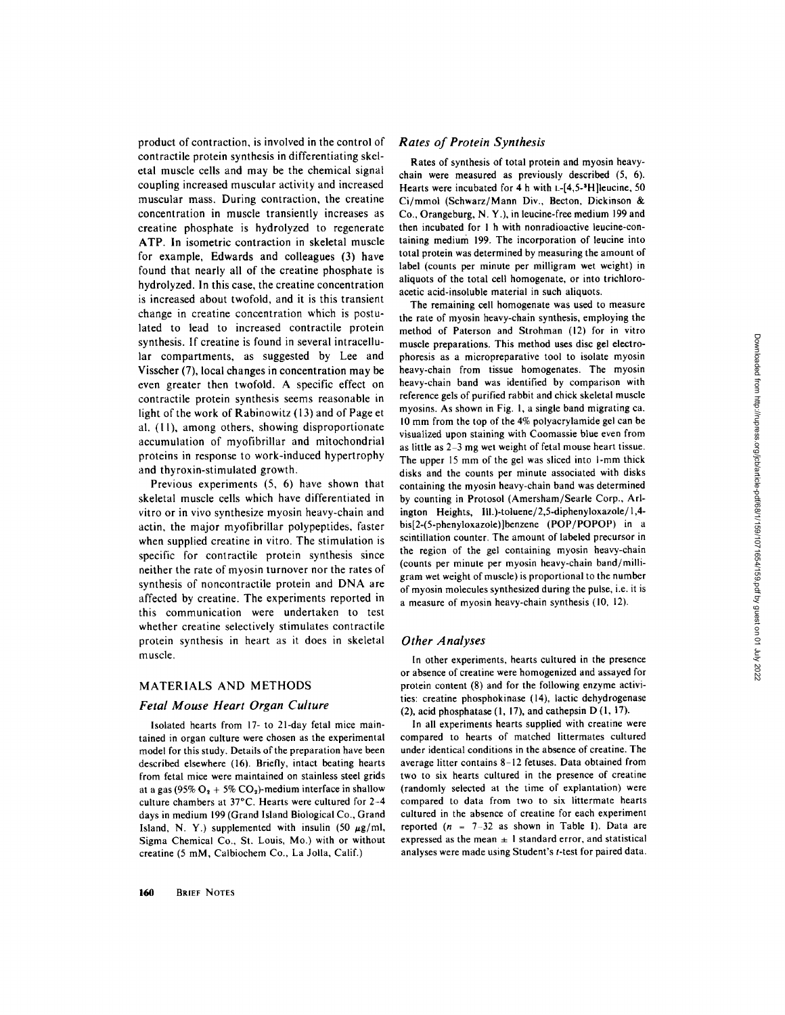product of contraction, is involved in the control of contractile protein synthesis in differentiating skeletal muscle cells and may be the chemical signal coupling increased muscular activity and increased muscular mass. During contraction, the creatine concentration in muscle transiently increases as creatine phosphate is hydrolyzed to regenerate ATP. In isometric contraction in skeletal muscle for example, Edwards and colleagues (3) have found that nearly all of the creatine phosphate is hydrolyzed. In this case, the creatine concentration is increased about twofold, and it is this transient change in creatine concentration which is postulated to lead to increased contractile protein synthesis. If creatine is found in several intracellular compartments, as suggested by Lee and Visscher (7), local changes in concentration may be even greater then twofold. A specific effect on contractile protein synthesis seems reasonable in light of the work of Rabinowitz (13) and of Page et al. (11), among others, showing disproportionate accumulation of myofibrillar and mitochondrial proteins in response to work-induced hypertrophy and thyroxin-stimulated growth.

Previous experiments (5, 6) have shown that skeletal muscle cells which have differentiated in vitro or in vivo synthesize myosin heavy-chain and actin, the major myofibrillar polypeptides, faster when supplied creatine in vitro. The stimulation is specific for contractile protein synthesis since neither the rate of myosin turnover nor the rates of synthesis of noncontractile protein and DNA are affected by creatine. The experiments reported in this communication were undertaken to test whether creatine selectively stimulates contractile protein synthesis in heart as it does in skeletal muscle.

## MATERIALS AND METHODS

#### *Fetal Mouse Heart Organ Culture*

Isolated hearts from 17- to 21-day fetal mice maintained in organ culture were chosen as the experimental model for this study. Details of the preparation have been described elsewhere (16). Briefly, intact beating hearts from fetal mice were maintained on stainless steel grids at a gas (95%  $O_2$  + 5%  $CO_2$ )-medium interface in shallow culture chambers at 37°C. Hearts were cultured for 2-4 days in medium 199 (Grand Island Biological Co., Grand Island, N. Y.) supplemented with insulin (50  $\mu$ g/ml, Sigma Chemical Co., St. Louis, Mo.) with or without creatine (5 mM, Calbiochem Co., La Jolla, Calif.)

#### *Rates of Protein Synthesis*

Rates of synthesis of total protein and myosin heavychain were measured as previously described (5, 6). Hearts were incubated for 4 h with L-[4,5-3H]leucine, 50 Ci/mmol (Schwarz/Mann Div., Becton, Dickinson & Co., Orangeburg, N. Y.), in leucine-free medium 199 and then incubated for I h with nonradioactive leucine-containing medium 199. The incorporation of leucine into total protein was determined by measuring the amount of label (counts per minute per milligram wet weight) in aliquots of the total cell homogenate, or into trichloroacetic acid-insoluble material in such aliquots.

The remaining cell homogenate was used to measure the rate of myosin heavy-chain synthesis, employing the method of Paterson and Strohman (12) for in vitro muscle preparations. This method uses disc gel electrophoresis as a micropreparative tool to isolate myosin heavy-chain from tissue homogenates. The myosin heavy-chain band was identified by comparison with reference gels of purified rabbit and chick skeletal muscle myosins. As shown in Fig. I, a single band migrating ca. 10 mm from the top of the 4% polyacrylamide gel can be visualized upon staining with Coomassie blue even from as little as  $2-3$  mg wet weight of fetal mouse heart tissue. The upper 15 mm of the gel was sliced into I-mm thick disks and the counts per minute associated with disks containing the myosin heavy-chain band was determined by counting in Protosol (Amersham/Searle Corp., Arlington Heights, lll.)-toluene/2,5-diphenyloxazole/1,4 bis[2-(5-phenyloxazole)]benzene (POP/POPOP) in a scintillation counter. The amount of labeled precursor in the region of the gel containing myosin heavy-chain (counts per minute per myosin heavy-chain band/milligram wet weight of muscle) is proportional to the number of myosin molecules synthesized during the pulse, i.e. it is a measure of myosin heavy-chain synthesis (10, 12).

#### *Other Analyses*

In other experiments, hearts cultured in the presence or absence of creatine were homogenized and assayed for protein content (8) and for the following enzyme activities: creatine phosphokinase (14), lactic dehydrogenase (2), acid phosphatase (1, 17), and cathepsin D (1, 17).

In all experiments hearts supplied with creatine were compared to hearts of matched littermates cultured under identical conditions in the absence of creatine. The average litter contains 8-12 fetuses. Data obtained from two to six hearts cultured in the presence of creatine (randomly selected at the time of explantation) were compared to data from two to six littermate hearts cultured in the absence of creatine for each experiment reported  $(n = 7-32)$  as shown in Table I). Data are expressed as the mean  $\pm$  1 standard error, and statistical analyses were made using Student's t-test for paired data.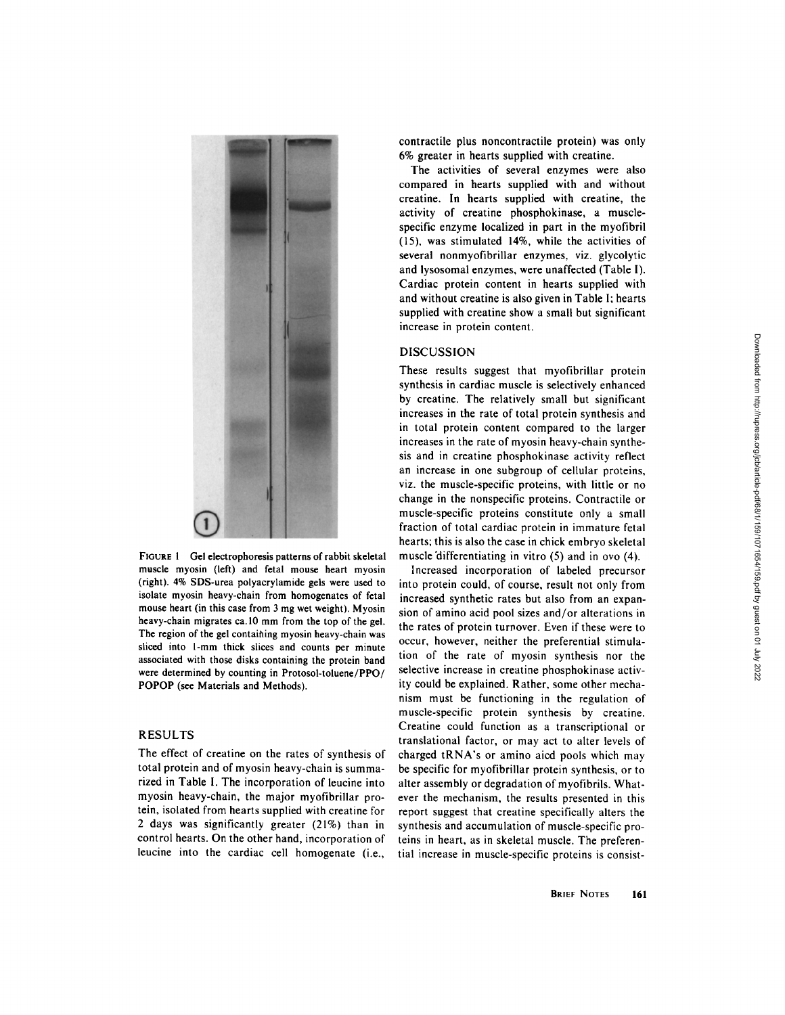

FIGURE 1 Gel electrophoresis patterns of rabbit skeletal muscle myosin (left) and fetal mouse heart myosin (right). 4% SDS-urea polyacrylamide gels were used to isolate myosin heavy-chain from homogenates of fetal mouse heart (in this case from 3 mg wet weight). Myosin heavy-chain migrates ca.10 mm from the top of the gel. The region of the gel contaihing myosin heavy-chain was sliced into l-mm thick slices and counts per minute associated with those disks containing the protein band were determined by counting in Protosol-toluene/PPO/ POPOP (see Materials and Methods).

## RESULTS

The effect of creatine on the rates of synthesis of total protein and of myosin heavy-chain is summarized in Table I. The incorporation of leucine into myosin heavy-chain, the major myofibrillar protein, isolated from hearts supplied with creatine for 2 days was significantly greater (21%) than in control hearts. On the other hand, incorporation of leucine into the cardiac cell homogenate (i.e.,

contractile plus noncontractile protein) was only 6% greater in hearts supplied with creatine.

The activities of several enzymes were also compared in hearts supplied with and without creatine. In hearts supplied with creatine, the activity of creatine phosphokinase, a musclespecific enzyme localized in part in the myofibril (15), was stimulated 14%, while the activities of several nonmyofibrillar enzymes, viz. glycolytic and lysosomal enzymes, were unaffected (Table I). Cardiac protein content in hearts supplied with and without creatine is also given in Table I; hearts supplied with creatine show a small but significant increase in protein content.

## DISCUSSION

These results suggest that myofibrillar protein synthesis in cardiac muscle is selectively enhanced by creatine. The relatively small but significant increases in the rate of total protein synthesis and in total protein content compared to the larger increases in the rate of myosin heavy-chain synthesis and in creatine phosphokinase activity reflect an increase in one subgroup of cellular proteins, viz. the muscle-specific proteins, with little or no change in the nonspecific proteins. Contractile or muscle-specific proteins constitute only a small fraction of total cardiac protein in immature fetal hearts; this is also the case in chick embryo skeletal muscle'differentiating in vitro (5) and in ovo (4).

Increased incorporation of labeled precursor into protein could, of course, result not only from increased synthetic rates but also from an expansion of amino acid pool sizes and/or alterations in the rates of protein turnover. Even if these were to occur, however, neither the preferential stimulation of the rate of myosin synthesis nor the selective increase in creatine phosphokinase activity could be explained. Rather, some other mechanism must be functioning in the regulation of muscle-specific protein synthesis by creatine. Creatine could function as a transcriptional or translational factor, or may act to alter levels of charged tRNA's or amino aicd pools which may be specific for myofibrillar protein synthesis, or to alter assembly or degradation of myofibrils. Whatever the mechanism, the results presented in this report suggest that creatine specifically alters the synthesis and accumulation of muscle-specific proteins in heart, as in skeletal muscle. The preferential increase in muscle-specific proteins is consist-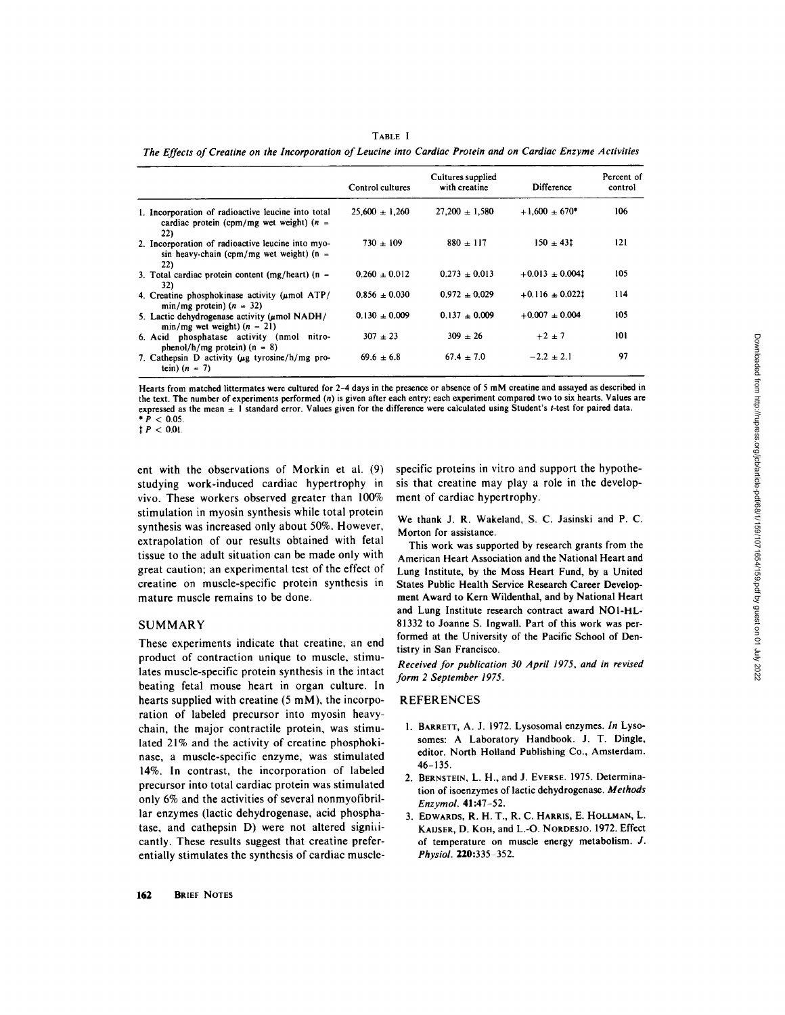|                                                                                                         | Control cultures   | Cultures supplied<br>with creatine | Difference          | Percent of<br>control |
|---------------------------------------------------------------------------------------------------------|--------------------|------------------------------------|---------------------|-----------------------|
| 1. Incorporation of radioactive leucine into total<br>cardiac protein (cpm/mg wet weight) $(n =$<br>22) | $25.600 \pm 1.260$ | $27.200 \pm 1.580$                 | $+1.600 + 670*$     | 106                   |
| 2. Incorporation of radioactive leucine into myo-<br>sin heavy-chain (cpm/mg wet weight) ( $n =$<br>22) | $730 + 109$        | $880 \pm 117$                      | $150 \pm 431$       | 121                   |
| 3. Total cardiac protein content (mg/heart) ( $n =$<br>32)                                              | $0.260 \pm 0.012$  | $0.273 \pm 0.013$                  | $+0.013 \pm 0.0041$ | 105                   |
| 4. Creatine phosphokinase activity $(\mu \text{mol} \text{ATP}/$<br>$min/mg$ protein) $(n = 32)$        | $0.856 \pm 0.030$  | $0.972 + 0.029$                    | $+0.116 \pm 0.0221$ | 114                   |
| 5. Lactic dehydrogenase activity ( $\mu$ mol NADH/<br>$min/mg$ wet weight) $(n = 21)$                   | $0.130 \pm 0.009$  | $0.137 + 0.009$                    | $+0.007 + 0.004$    | 105                   |
| 6. Acid phosphatase activity (nmol nitro-<br>phenol/h/mg protein) $(n = 8)$                             | $307 + 23$         | $309 \pm 26$                       | $+2 \pm 7$          | 101                   |
| 7. Cathepsin D activity ( $\mu$ g tyrosine/h/mg pro-<br>tein) $(n = 7)$                                 | $69.6 + 6.8$       | $67.4 \pm 7.0$                     | $-2.2 + 2.1$        | 97                    |

TABLE I *The Effects of Creatine on the Incorporation of Leucine into Cardiac Protein and on Cardiac Enzyme Activities* 

Hearts from matched littermates were cultured for 2-4 days in the presence or absence of 5 mM creatine and assayed as described in the text. The number of experiments performed (n) is given after each entry; each experiment compared two to six hearts. Values are expressed as the mean  $\pm 1$  standard error. Values given for the difference were calculated using Student's t-test for paired data.  $* P < 0.05$ .

 $~{\bf 1} P < 0.01$ .

ent with the observations of Morkin et al. (9) studying work-induced cardiac hypertrophy in vivo. These workers observed greater than 100% stimulation in myosin synthesis while total protein synthesis was increased only about 50%. However, extrapolation of our results obtained with fetal tissue to the adult situation can be made only with great caution; an experimental test of the effect of creatine on muscle-specific protein synthesis in mature muscle remains to be done.

### SUMMARY

These experiments indicate that creatine, an end product of contraction unique to muscle, stimulates muscle-specific protein synthesis in the intact beating fetal mouse heart in organ culture. In hearts supplied with creatine (5 mM), the incorporation of labeled precursor into myosin heavychain, the major contractile protein, was stimulated 21% and the activity of creatine phosphokinase, a muscle-specific enzyme, was stimulated 14%. In contrast, the incorporation of labeled precursor into total cardiac protein was stimulated only 6% and the activities of several nonmyofibrillar enzymes (lactic dehydrogenase, acid phosphatase, and cathepsin D) were not altered significantly. These results suggest that creatine preferentially stimulates the synthesis of cardiac musclespecific proteins in vitro and support the hypothesis that creatine may play a role in the development of cardiac hypertrophy.

We thank J. R. Wakeland, S. C. Jasinski and P. C. Morton for assistance.

This work was supported by research grants from the American Heart Association and the National Heart and Lung Institute, by the Moss Heart Fund, by a United States Public Health Service Research Career Development Award to Kern Wildenthal, and by National Heart and Lung Institute research contract award NOI-HL-81332 to Joanne S. Ingwall. Part of this work was performed at the University of the Pacific School of Dentistry in San Francisco.

*Received for publication 30 April 1975, and in revised form 2 September 1975.* 

#### REFERENCES

- 1. BARRETT, A. J. 1972. Lysosomal enzymes. *In* Lysosomes: A Laboratory Handbook. J. T. Dingle, editor. North Holland Publishing Co., Amsterdam. 46-135.
- 2. BERNSTEIN, L. H., and J. EVERSE. 1975. Determination of isoenzymes of lactic dehydrogenase. *Methods Enzymol.* 41:47-52.
- 3. EDWARDS, R. H. T., R. C. HARRIS, E. HOLLMAN, L. **KAIJSER, D. KOH,** and L.-O. NORDESJO. 1972. Effect of temperature on muscle energy metabolism. J. *Physiol.* **220:**335-352.